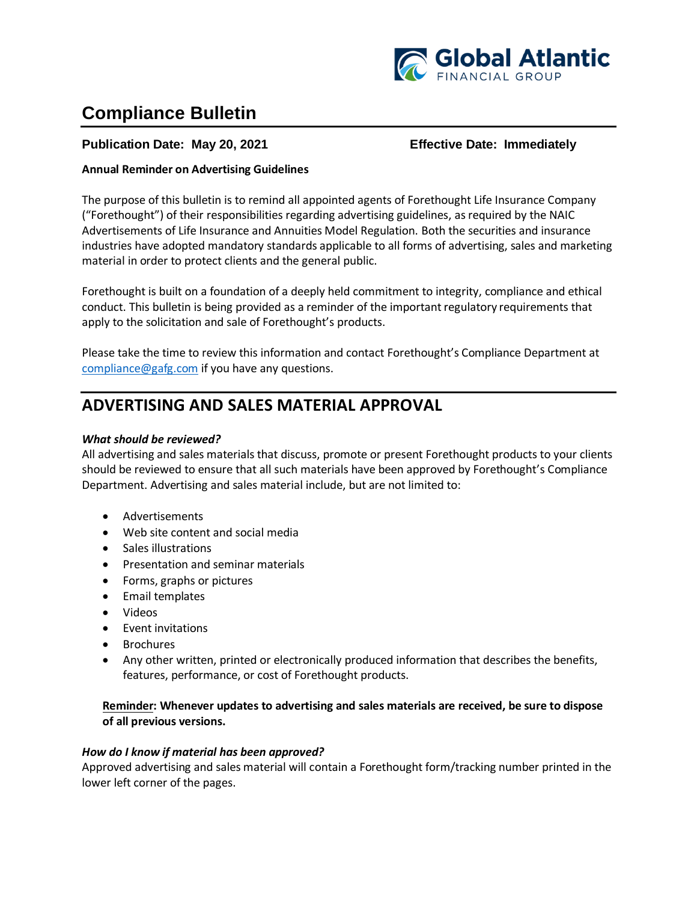

# **Compliance Bulletin**

### **Publication Date: May 20, 2021 Effective Date: Immediately**

#### **Annual Reminder on Advertising Guidelines**

The purpose of this bulletin is to remind all appointed agents of Forethought Life Insurance Company ("Forethought") of their responsibilities regarding advertising guidelines, as required by the NAIC Advertisements of Life Insurance and Annuities Model Regulation. Both the securities and insurance industries have adopted mandatory standards applicable to all forms of advertising, sales and marketing material in order to protect clients and the general public.

Forethought is built on a foundation of a deeply held commitment to integrity, compliance and ethical conduct. This bulletin is being provided as a reminder of the important regulatory requirements that apply to the solicitation and sale of Forethought's products.

Please take the time to review this information and contact Forethought's Compliance Department at [compliance@gafg.com](mailto:compliance@gafg.com) if you have any questions.

# **ADVERTISING AND SALES MATERIAL APPROVAL**

#### *What should be reviewed?*

All advertising and sales materials that discuss, promote or present Forethought products to your clients should be reviewed to ensure that all such materials have been approved by Forethought's Compliance Department. Advertising and sales material include, but are not limited to:

- Advertisements
- Web site content and social media
- Sales illustrations
- Presentation and seminar materials
- Forms, graphs or pictures
- Email templates
- Videos
- Event invitations
- Brochures
- Any other written, printed or electronically produced information that describes the benefits, features, performance, or cost of Forethought products.

#### **Reminder: Whenever updates to advertising and sales materials are received, be sure to dispose of all previous versions.**

#### *How do I know if material has been approved?*

Approved advertising and sales material will contain a Forethought form/tracking number printed in the lower left corner of the pages.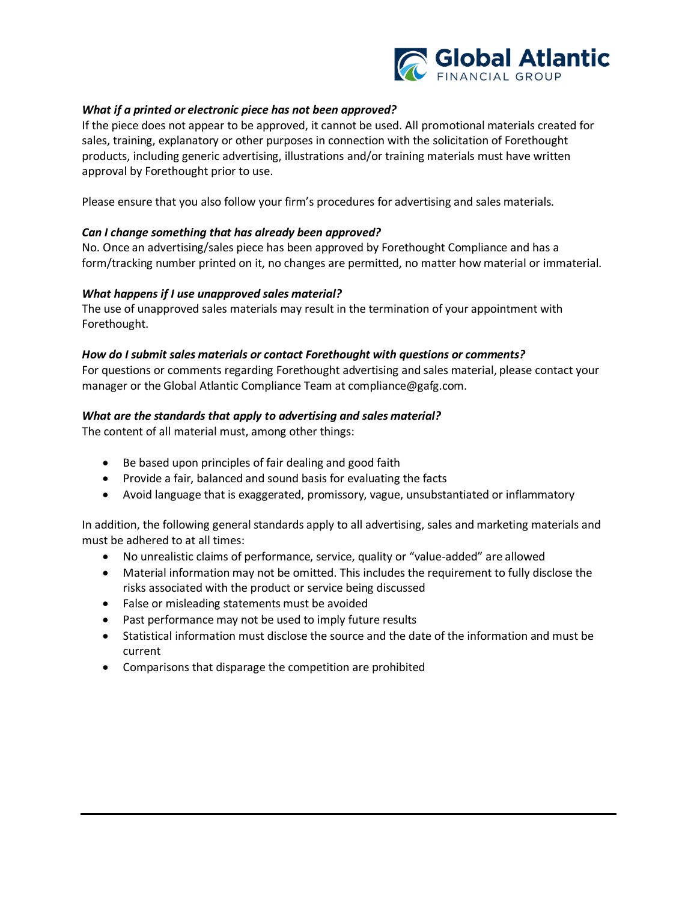

#### *What if a printed or electronic piece has not been approved?*

If the piece does not appear to be approved, it cannot be used. All promotional materials created for sales, training, explanatory or other purposes in connection with the solicitation of Forethought products, including generic advertising, illustrations and/or training materials must have written approval by Forethought prior to use.

Please ensure that you also follow your firm's procedures for advertising and sales materials.

#### *Can I change something that has already been approved?*

No. Once an advertising/sales piece has been approved by Forethought Compliance and has a form/tracking number printed on it, no changes are permitted, no matter how material or immaterial.

#### *What happens if I use unapproved sales material?*

The use of unapproved sales materials may result in the termination of your appointment with Forethought.

#### *How do I submit sales materials or contact Forethought with questions or comments?*

For questions or comments regarding Forethought advertising and sales material, please contact your manager or the Global Atlantic Compliance Team at compliance@gafg.com.

#### *What are the standards that apply to advertising and sales material?*

The content of all material must, among other things:

- Be based upon principles of fair dealing and good faith
- Provide a fair, balanced and sound basis for evaluating the facts
- Avoid language that is exaggerated, promissory, vague, unsubstantiated or inflammatory

In addition, the following general standards apply to all advertising, sales and marketing materials and must be adhered to at all times:

- No unrealistic claims of performance, service, quality or "value-added" are allowed
- Material information may not be omitted. This includes the requirement to fully disclose the risks associated with the product or service being discussed
- False or misleading statements must be avoided
- Past performance may not be used to imply future results
- Statistical information must disclose the source and the date of the information and must be current
- Comparisons that disparage the competition are prohibited